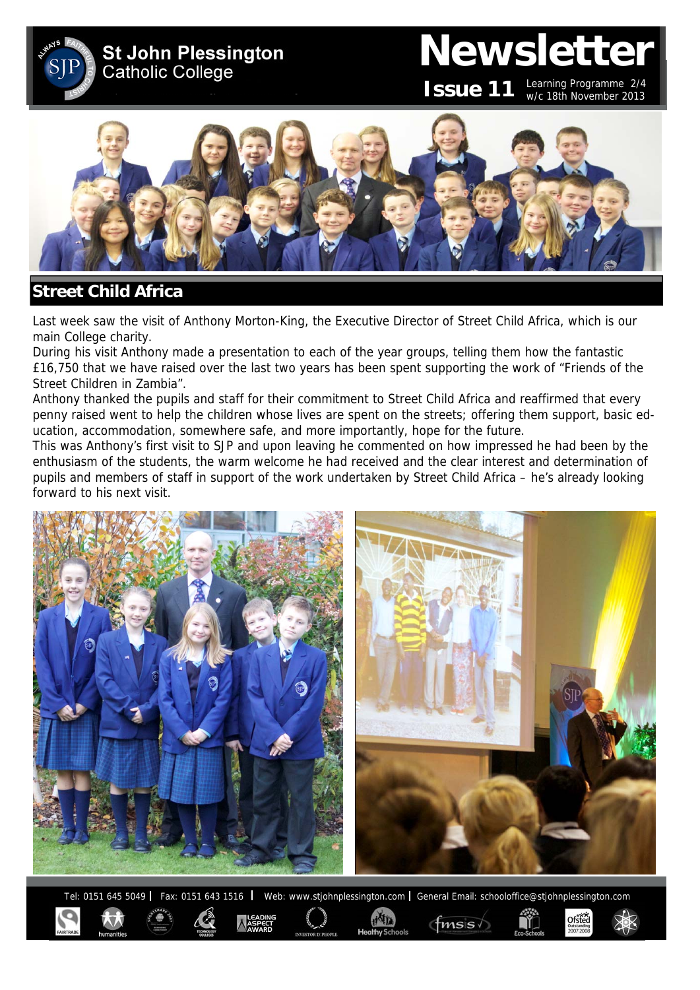**St John Plessington Catholic College** 

# **Newsletter**

**Issue 11**

Learning Programme 2/4 w/c 18th November 2013

Ofsted



# **Street Child Africa**

Last week saw the visit of Anthony Morton-King, the Executive Director of Street Child Africa, which is our main College charity.

During his visit Anthony made a presentation to each of the year groups, telling them how the fantastic £16,750 that we have raised over the last two years has been spent supporting the work of "Friends of the Street Children in Zambia".

Anthony thanked the pupils and staff for their commitment to Street Child Africa and reaffirmed that every penny raised went to help the children whose lives are spent on the streets; offering them support, basic education, accommodation, somewhere safe, and more importantly, hope for the future.

This was Anthony's first visit to SJP and upon leaving he commented on how impressed he had been by the enthusiasm of the students, the warm welcome he had received and the clear interest and determination of pupils and members of staff in support of the work undertaken by Street Child Africa – he's already looking forward to his next visit.



Tel: 0151 645 5049 | Fax: 0151 643 1516 | Web: www.stjohnplessington.com | General Email: schooloffice@stjohnplessington.com

 $f$ <sub>mss</sub> $\sqrt$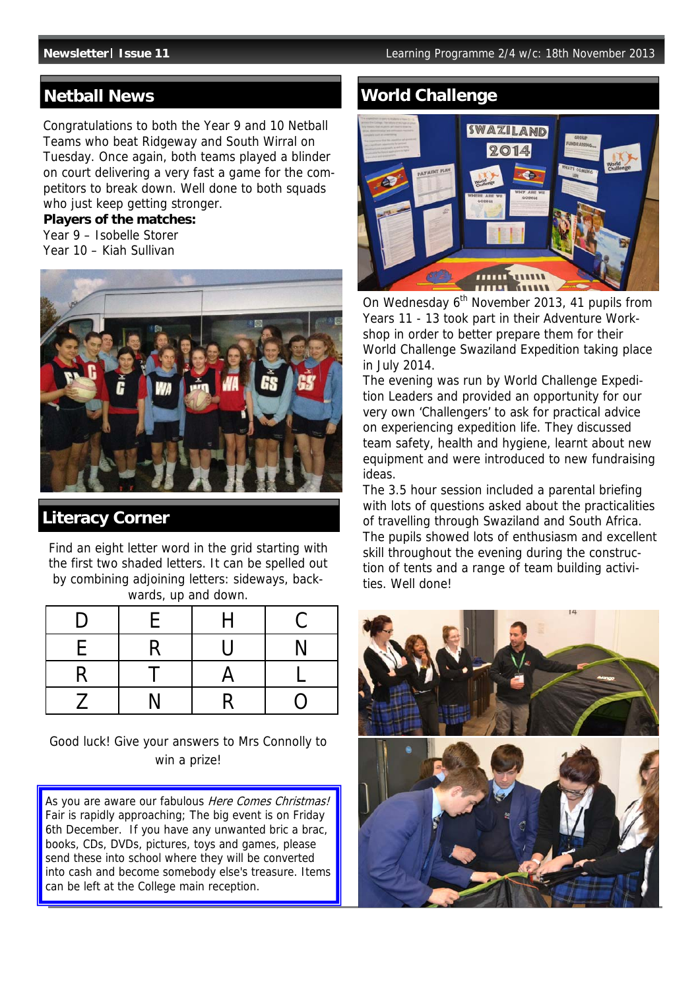Congratulations to both the Year 9 and 10 Netball Teams who beat Ridgeway and South Wirral on Tuesday. Once again, both teams played a blinder on court delivering a very fast a game for the competitors to break down. Well done to both squads who just keep getting stronger.

#### **Players of the matches:**

Year 9 – Isobelle Storer Year 10 – Kiah Sullivan



## **Literacy Corner**

Find an eight letter word in the grid starting with the first two shaded letters. It can be spelled out by combining adjoining letters: sideways, backwards, up and down.

| D | F | H | C                |
|---|---|---|------------------|
| E | R | U | N                |
| R |   | A |                  |
|   | N | R | $\left( \right)$ |

Good luck! Give your answers to Mrs Connolly to win a prize!

As you are aware our fabulous Here Comes Christmas! Fair is rapidly approaching; The big event is on Friday 6th December. If you have any unwanted bric a brac, books, CDs, DVDs, pictures, toys and games, please send these into school where they will be converted into cash and become somebody else's treasure. Items can be left at the College main reception.

# **Netball News World Challenge**



On Wednesday 6<sup>th</sup> November 2013, 41 pupils from Years 11 - 13 took part in their Adventure Workshop in order to better prepare them for their World Challenge Swaziland Expedition taking place in July 2014.

The evening was run by World Challenge Expedition Leaders and provided an opportunity for our very own 'Challengers' to ask for practical advice on experiencing expedition life. They discussed team safety, health and hygiene, learnt about new equipment and were introduced to new fundraising ideas.

The 3.5 hour session included a parental briefing with lots of questions asked about the practicalities of travelling through Swaziland and South Africa. The pupils showed lots of enthusiasm and excellent skill throughout the evening during the construction of tents and a range of team building activities. Well done!

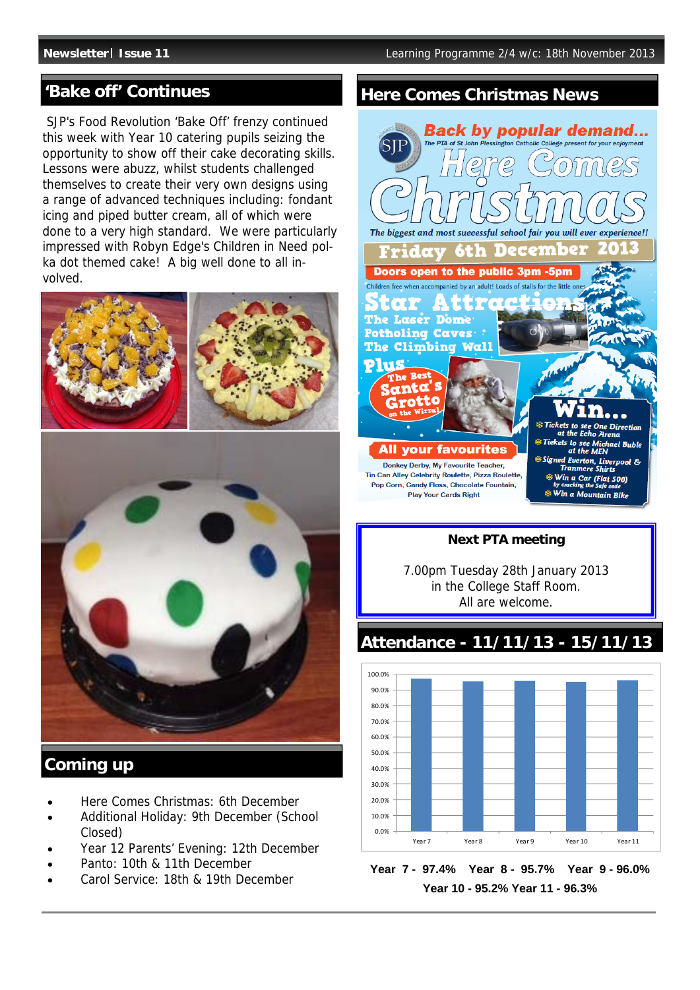SJP's Food Revolution 'Bake Off' frenzy continued this week with Year 10 catering pupils seizing the opportunity to show off their cake decorating skills. Lessons were abuzz, whilst students challenged themselves to create their very own designs using a range of advanced techniques including: fondant icing and piped butter cream, all of which were done to a very high standard. We were particularly impressed with Robyn Edge's Children in Need polka dot themed cake! A big well done to all involved.



## **Coming up**

- Here Comes Christmas: 6th December
- Additional Holiday: 9th December (School Closed)
- Year 12 Parents' Evening: 12th December
- Panto: 10th & 11th December
- Carol Service: 18th & 19th December

# 'Bake off' Continues **Here Comes Christmas News**



#### **Next PTA meeting**

7.00pm Tuesday 28th January 2013 in the College Staff Room. All are welcome.

**Attendance - 11/11/13 - 15/11/13**



**Year 7 - 97.4% Year 8 - 95.7% Year 9 - 96.0% Year 10 - 95.2% Year 11 - 96.3%**